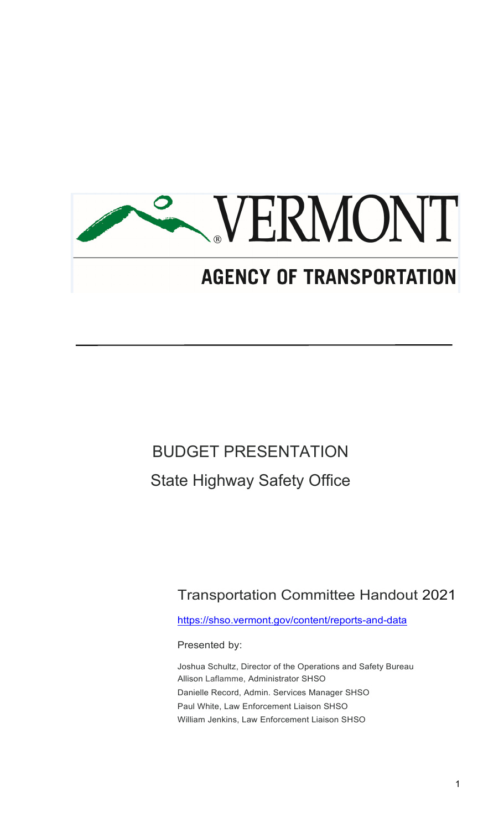

# BUDGET PRESENTATION State Highway Safety Office

Transportation Committee Handout 2021

<https://shso.vermont.gov/content/reports-and-data>

Presented by:

Joshua Schultz, Director of the Operations and Safety Bureau Allison Laflamme, Administrator SHSO Danielle Record, Admin. Services Manager SHSO Paul White, Law Enforcement Liaison SHSO William Jenkins, Law Enforcement Liaison SHSO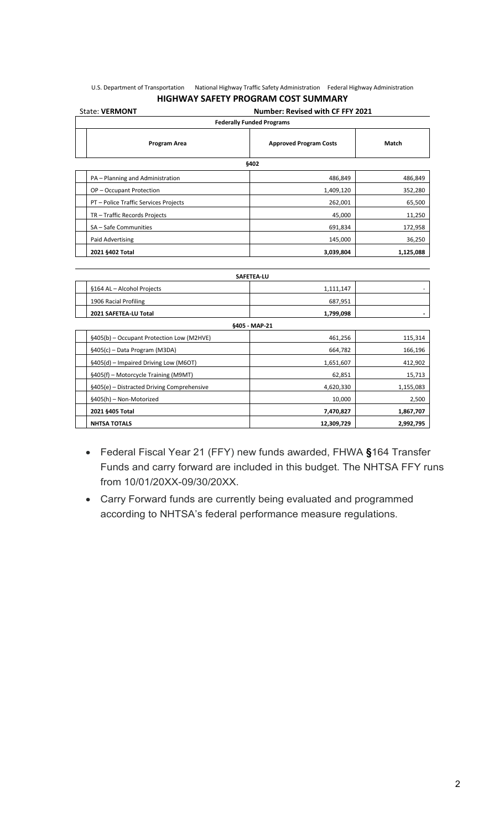#### U.S. Department of Transportation National Highway Traffic Safety Administration Federal Highway Administration **HIGHWAY SAFETY PROGRAM COST SUMMARY**

| <b>Number: Revised with CF FFY 2021</b><br><b>State: VERMONT</b> |                               |           |  |
|------------------------------------------------------------------|-------------------------------|-----------|--|
| <b>Federally Funded Programs</b>                                 |                               |           |  |
| Program Area                                                     | <b>Approved Program Costs</b> | Match     |  |
| §402                                                             |                               |           |  |
| PA - Planning and Administration                                 | 486,849                       | 486,849   |  |
| OP-Occupant Protection                                           | 1,409,120                     | 352,280   |  |
| PT - Police Traffic Services Projects                            | 262,001                       | 65,500    |  |
| TR - Traffic Records Projects                                    | 45,000                        | 11,250    |  |
| SA - Safe Communities                                            | 691,834                       | 172,958   |  |
| Paid Advertising                                                 | 145,000                       | 36,250    |  |
| 2021 §402 Total                                                  | 3,039,804                     | 1,125,088 |  |
|                                                                  |                               |           |  |

| <b>SAFETEA LU</b>                          |            |           |
|--------------------------------------------|------------|-----------|
| §164 AL - Alcohol Projects                 | 1,111,147  |           |
| 1906 Racial Profiling                      | 687,951    |           |
| 2021 SAFETEA-LU Total                      | 1,799,098  |           |
| §405 MAP 21                                |            |           |
| §405(b) – Occupant Protection Low (M2HVE)  | 461,256    | 115,314   |
| §405(c) – Data Program (M3DA)              | 664,782    | 166,196   |
| §405(d) – Impaired Driving Low (M6OT)      | 1,651,607  | 412,902   |
| §405(f) – Motorcycle Training (M9MT)       | 62,851     | 15,713    |
| §405(e) - Distracted Driving Comprehensive | 4,620,330  | 1,155,083 |
| §405(h) – Non-Motorized                    | 10,000     | 2,500     |
| 2021 §405 Total                            | 7,470,827  | 1,867,707 |
| <b>NHTSA TOTALS</b>                        | 12,309,729 | 2,992,795 |

- Federal Fiscal Year 21 (FFY) new funds awarded, FHWA **§**164 Transfer Funds and carry forward are included in this budget. The NHTSA FFY runs from 10/01/20XX-09/30/20XX.
- Carry Forward funds are currently being evaluated and programmed according to NHTSA's federal performance measure regulations.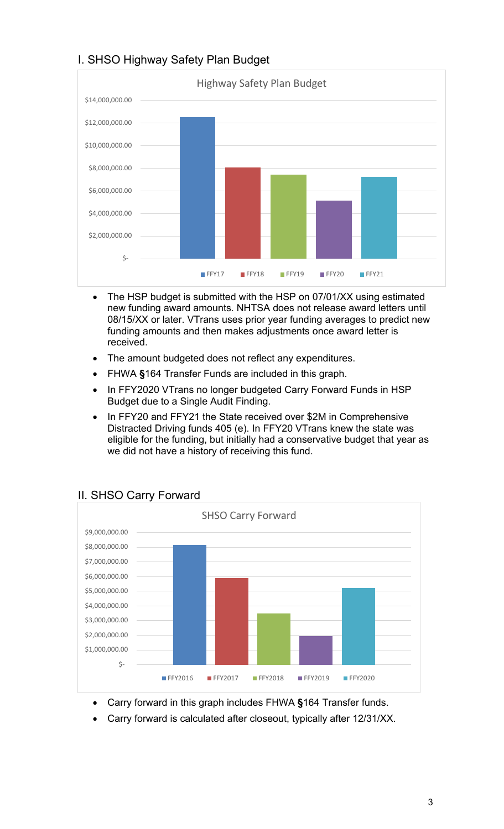

#### I. SHSO Highway Safety Plan Budget

- The HSP budget is submitted with the HSP on 07/01/XX using estimated new funding award amounts. NHTSA does not release award letters until 08/15/XX or later. VTrans uses prior year funding averages to predict new funding amounts and then makes adjustments once award letter is received.
- The amount budgeted does not reflect any expenditures.
- FHWA **§**164 Transfer Funds are included in this graph.
- In FFY2020 VTrans no longer budgeted Carry Forward Funds in HSP Budget due to a Single Audit Finding.
- In FFY20 and FFY21 the State received over \$2M in Comprehensive Distracted Driving funds 405 (e). In FFY20 VTrans knew the state was eligible for the funding, but initially had a conservative budget that year as we did not have a history of receiving this fund.



#### II. SHSO Carry Forward

- Carry forward in this graph includes FHWA **§**164 Transfer funds.
- Carry forward is calculated after closeout, typically after 12/31/XX.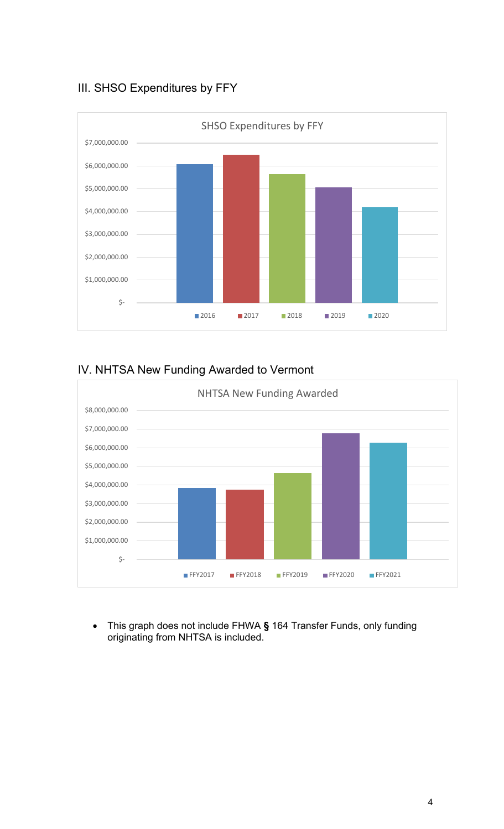#### III. SHSO Expenditures by FFY



#### IV. NHTSA New Funding Awarded to Vermont



• This graph does not include FHWA **§** 164 Transfer Funds, only funding originating from NHTSA is included.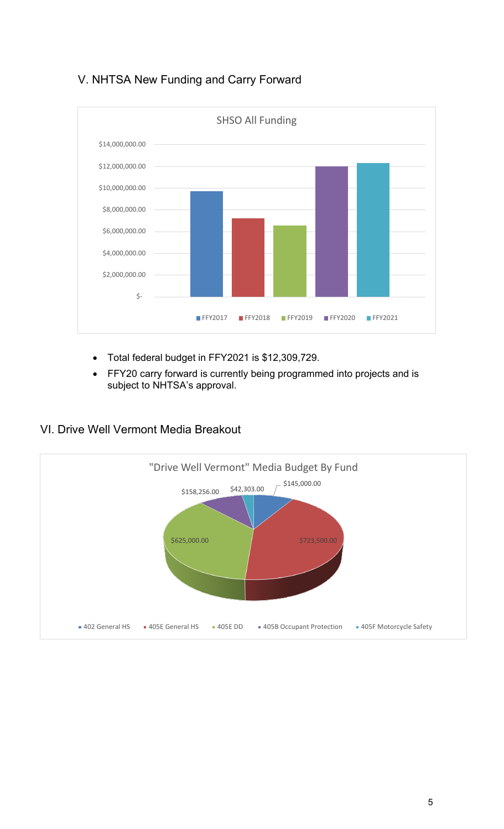### V. NHTSA New Funding and Carry Forward



- Total federal budget in FFY2021 is \$12,309,729.
- FFY20 carry forward is currently being programmed into projects and is subject to NHTSA's approval.

#### VI. Drive Well Vermont Media Breakout

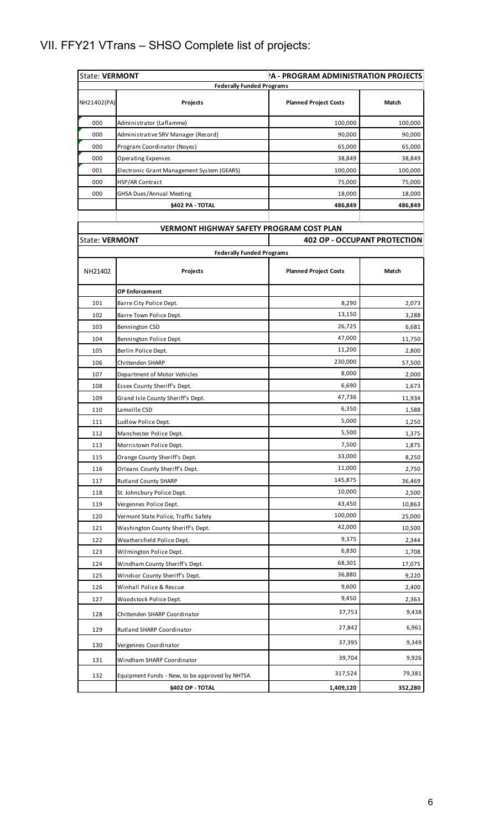## VII. FFY21 VTrans – SHSO Complete list of projects:

| <b>State: VERMONT</b><br>A - PROGRAM ADMINISTRATION PROJECTS |                                                 |                              |                                     |
|--------------------------------------------------------------|-------------------------------------------------|------------------------------|-------------------------------------|
|                                                              | <b>Federally Funded Programs</b>                |                              |                                     |
| NH21402(PA)                                                  | Projects                                        | <b>Planned Project Costs</b> | Match                               |
| 000                                                          | Administrator (Laflamme)                        | 100,000                      | 100,000                             |
| 000                                                          | Administrative SRV Manager (Record)             | 90,000                       | 90,000                              |
| 000                                                          | Program Coordinator (Noyes)                     | 65,000                       | 65,000                              |
| 000                                                          | <b>Operating Expenses</b>                       | 38,849                       | 38,849                              |
| 001                                                          | Electronic Grant Management System (GEARS)      | 100,000                      | 100,000                             |
| 000                                                          | HSP/AR Contract                                 | 75,000                       | 75,000                              |
| 000                                                          | GHSA Dues/Annual Meeting                        | 18,000                       | 18,000                              |
|                                                              | <b>§402 PA - TOTAL</b>                          | 486,849                      | 486,849                             |
|                                                              |                                                 |                              |                                     |
| <b>State: VERMONT</b>                                        | <b>VERMONT HIGHWAY SAFETY PROGRAM COST PLAN</b> |                              | <b>402 OP - OCCUPANT PROTECTION</b> |
|                                                              | <b>Federally Funded Programs</b>                |                              |                                     |
|                                                              |                                                 |                              |                                     |
| NH21402                                                      | Projects                                        | <b>Planned Project Costs</b> | Match                               |
|                                                              | <b>OP Enforcement</b>                           |                              |                                     |
| 101                                                          | Barre City Police Dept.                         | 8,290                        | 2,073                               |
| 102                                                          | Barre Town Police Dept.                         | 13,150                       | 3,288                               |
| 103                                                          | Bennington CSD                                  | 26,725                       | 6,681                               |
| 104                                                          | Bennington Police Dept.                         | 47,000                       | 11,750                              |
| 105                                                          | Berlin Police Dept.                             | 11,200                       | 2,800                               |
| 106                                                          | Chittenden SHARP                                | 230,000                      | 57,500                              |
| 107                                                          | Department of Motor Vehicles                    | 8,000                        | 2,000                               |
| 108                                                          | Essex County Sheriff's Dept.                    | 6,690                        | 1,673                               |
| 109                                                          | Grand Isle County Sheriff's Dept.               | 47,736                       | 11,934                              |
| 110                                                          | Lamoille CSD                                    | 6,350                        | 1,588                               |
| 111                                                          | Ludlow Police Dept.                             | 5,000                        | 1,250                               |
| 112                                                          | Manchester Police Dept.                         | 5,500                        | 1,375                               |
| 113                                                          | Morristown Police Dept.                         | 7,500                        | 1,875                               |
| 115                                                          | Orange County Sheriff's Dept.                   | 33,000                       | 8,250                               |
| 116                                                          | Orleans County Sheriff's Dept.                  | 11,000                       | 2,750                               |
| 117                                                          | <b>Rutland County SHARP</b>                     | 145,875                      | 36,469                              |
| 118                                                          | St. Johnsbury Police Dept.                      | 10,000                       | 2,500                               |
| 119                                                          | Vergennes Police Dept.                          | 43,450                       | 10,863                              |
| 120                                                          | Vermont State Police, Traffic Safety            | 100,000                      | 25,000                              |
| 121                                                          | Washington County Sheriff's Dept.               | 42,000                       | 10,500                              |
| 122                                                          | Weathersfield Police Dept.                      | 9,375                        | 2,344                               |
| 123                                                          | Wilmington Police Dept.                         | 6,830                        | 1,708                               |
| 124                                                          | Windham County Sheriff's Dept.                  | 68,301                       | 17,075                              |
| 125                                                          | Windsor County Sheriff's Dept.                  | 36,880                       | 9,220                               |
| 126                                                          | Winhall Police & Rescue                         | 9,600                        | 2,400                               |
| 127                                                          | Woodstock Police Dept.                          | 9,450                        | 2,363                               |
| 128                                                          | Chittenden SHARP Coordinator                    | 37,753                       | 9,438                               |
| 129                                                          | Rutland SHARP Coordinator                       | 27,842                       | 6,961                               |
| 130                                                          | Vergennes Coordinator                           | 37,395                       | 9,349                               |
| 131                                                          | Windham SHARP Coordinator                       | 39,704                       | 9,926                               |
| 132                                                          | Equipment Funds - New, to be approved by NHTSA  | 317,524                      | 79,381                              |
|                                                              | <b>§402 OP - TOTAL</b>                          | 1,409,120                    | 352,280                             |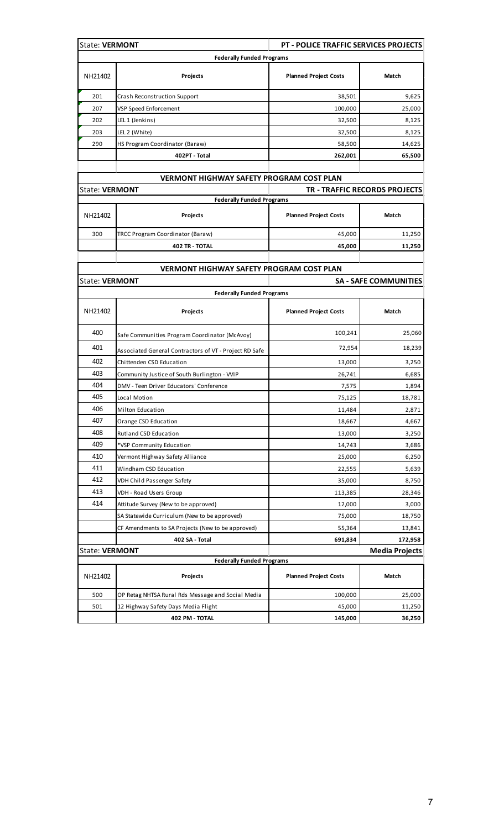| <b>State: VERMONT</b> |                                                        | <b>PT - POLICE TRAFFIC SERVICES PROJECTS</b> |                               |
|-----------------------|--------------------------------------------------------|----------------------------------------------|-------------------------------|
|                       | <b>Federally Funded Programs</b>                       |                                              |                               |
| NH21402               | Projects                                               | <b>Planned Project Costs</b>                 | Match                         |
| 201                   | Crash Reconstruction Support                           | 38,501                                       | 9,625                         |
| 207                   | VSP Speed Enforcement                                  | 100,000                                      | 25,000                        |
| 202                   | LEL 1 (Jenkins)                                        | 32,500                                       | 8,125                         |
| 203                   | LEL 2 (White)                                          | 32,500                                       | 8,125                         |
| 290                   | HS Program Coordinator (Baraw)                         | 58,500                                       | 14,625                        |
|                       | 402PT - Total                                          | 262,001                                      | 65,500                        |
|                       | <b>VERMONT HIGHWAY SAFETY PROGRAM COST PLAN</b>        |                                              |                               |
| <b>State: VERMONT</b> |                                                        |                                              | TR - TRAFFIC RECORDS PROJECTS |
|                       | <b>Federally Funded Programs</b>                       |                                              |                               |
| NH21402               | Projects                                               | <b>Planned Project Costs</b>                 | Match                         |
| 300                   | TRCC Program Coordinator (Baraw)                       | 45,000                                       | 11,250                        |
|                       | <b>402 TR - TOTAL</b>                                  | 45,000                                       | 11,250                        |
|                       |                                                        |                                              |                               |
|                       | <b>VERMONT HIGHWAY SAFETY PROGRAM COST PLAN</b>        |                                              |                               |
| <b>State: VERMONT</b> |                                                        |                                              | <b>SA - SAFE COMMUNITIES</b>  |
|                       | <b>Federally Funded Programs</b>                       |                                              |                               |
| NH21402               | Projects                                               | <b>Planned Project Costs</b>                 | Match                         |
| 400                   | Safe Communities Program Coordinator (McAvoy)          | 100,241                                      | 25,060                        |
| 401                   | Associated General Contractors of VT - Project RD Safe | 72,954                                       | 18,239                        |
| 402                   | Chittenden CSD Education                               | 13,000                                       | 3,250                         |
| 403                   | Community Justice of South Burlington - VVIP           | 26,741                                       | 6,685                         |
| 404                   | DMV - Teen Driver Educators' Conference                | 7,575                                        | 1,894                         |
| 405                   | Local Motion                                           | 75,125                                       | 18,781                        |
| 406                   | Milton Education                                       | 11,484                                       | 2,871                         |
| 407                   | Orange CSD Education                                   | 18,667                                       | 4,667                         |
| 408                   | Rutland CSD Education                                  | 13,000                                       | 3,250                         |
| 409                   | *VSP Community Education                               | 14,743                                       | 3,686                         |
| 410                   | Vermont Highway Safety Alliance                        | 25,000                                       | 6,250                         |
| 411                   | Windham CSD Education                                  | 22,555                                       | 5,639                         |
| 412                   | VDH Child Passenger Safety                             | 35,000                                       | 8,750                         |
| 413                   | VDH - Road Users Group                                 | 113,385                                      | 28,346                        |
| 414                   | Attitude Survey (New to be approved)                   | 12,000                                       | 3,000                         |
|                       | SA Statewide Curriculum (New to be approved)           |                                              |                               |
|                       |                                                        | 75,000                                       | 18,750                        |
|                       | CF Amendments to SA Projects (New to be approved)      | 55,364                                       | 13,841                        |
|                       | 402 SA - Total                                         | 691,834                                      | 172,958                       |
| <b>State: VERMONT</b> | <b>Federally Funded Programs</b>                       |                                              | <b>Media Projects</b>         |
| NH21402               | Projects                                               | <b>Planned Project Costs</b>                 | Match                         |
| 500                   | OP Retag NHTSA Rural Rds Message and Social Media      | 100,000                                      | 25,000                        |
| 501                   | 12 Highway Safety Days Media Flight                    | 45,000                                       | 11,250                        |
|                       | 402 PM - TOTAL                                         | 145,000                                      | 36,250                        |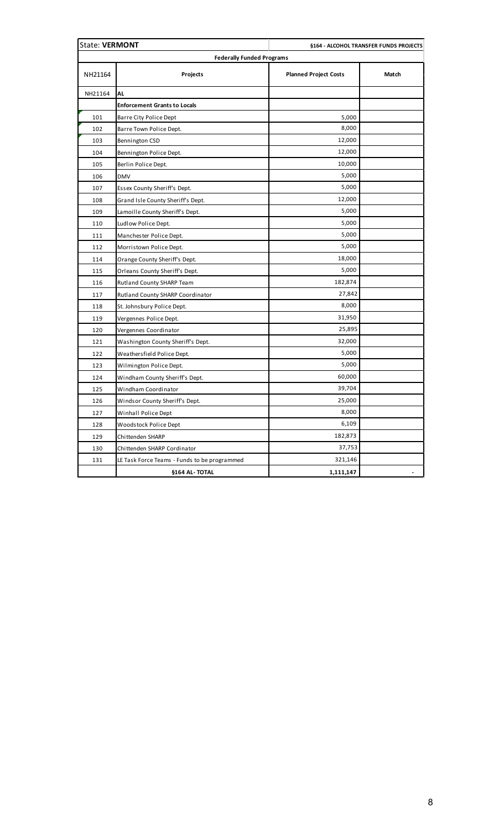| <b>State: VERMONT</b>            |                                              |                              | §164 - ALCOHOL TRANSFER FUNDS PROJECTS |  |
|----------------------------------|----------------------------------------------|------------------------------|----------------------------------------|--|
| <b>Federally Funded Programs</b> |                                              |                              |                                        |  |
| NH21164                          | Projects                                     | <b>Planned Project Costs</b> | Match                                  |  |
| NH21164                          | AL                                           |                              |                                        |  |
|                                  | <b>Enforcement Grants to Locals</b>          |                              |                                        |  |
| 101                              | Barre City Police Dept                       | 5,000                        |                                        |  |
| 102                              | Barre Town Police Dept.                      | 8,000                        |                                        |  |
| 103                              | Bennington CSD                               | 12,000                       |                                        |  |
| 104                              | Bennington Police Dept.                      | 12,000                       |                                        |  |
| 105                              | Berlin Police Dept.                          | 10,000                       |                                        |  |
| 106                              | <b>DMV</b>                                   | 5,000                        |                                        |  |
| 107                              | Essex County Sheriff's Dept.                 | 5,000                        |                                        |  |
| 108                              | Grand Isle County Sheriff's Dept.            | 12,000                       |                                        |  |
| 109                              | Lamoille County Sheriff's Dept.              | 5,000                        |                                        |  |
| 110                              | Ludlow Police Dept.                          | 5,000                        |                                        |  |
| 111                              | Manchester Police Dept.                      | 5,000                        |                                        |  |
| 112                              | Morristown Police Dept.                      | 5,000                        |                                        |  |
| 114                              | Orange County Sheriff's Dept.                | 18,000                       |                                        |  |
| 115                              | Orleans County Sheriff's Dept.               | 5,000                        |                                        |  |
| 116                              | Rutland County SHARP Team                    | 182,874                      |                                        |  |
| 117                              | Rutland County SHARP Coordinator             | 27,842                       |                                        |  |
| 118                              | St. Johnsbury Police Dept.                   | 8,000                        |                                        |  |
| 119                              | Vergennes Police Dept.                       | 31,950                       |                                        |  |
| 120                              | Vergennes Coordinator                        | 25,895                       |                                        |  |
| 121                              | Washington County Sheriff's Dept.            | 32,000                       |                                        |  |
| 122                              | Weathersfield Police Dept.                   | 5,000                        |                                        |  |
| 123                              | Wilmington Police Dept.                      | 5,000                        |                                        |  |
| 124                              | Windham County Sheriff's Dept.               | 60,000                       |                                        |  |
| 125                              | Windham Coordinator                          | 39,704                       |                                        |  |
| 126                              | Windsor County Sheriff's Dept.               | 25,000                       |                                        |  |
| 127                              | Winhall Police Dept                          | 8,000                        |                                        |  |
| 128                              | Woodstock Police Dept                        | 6,109                        |                                        |  |
| 129                              | Chittenden SHARP                             | 182,873                      |                                        |  |
| 130                              | Chittenden SHARP Cordinator                  | 37,753                       |                                        |  |
| 131                              | LE Task Force Teams - Funds to be programmed | 321,146                      |                                        |  |
|                                  | §164 AL-TOTAL                                | 1,111,147                    |                                        |  |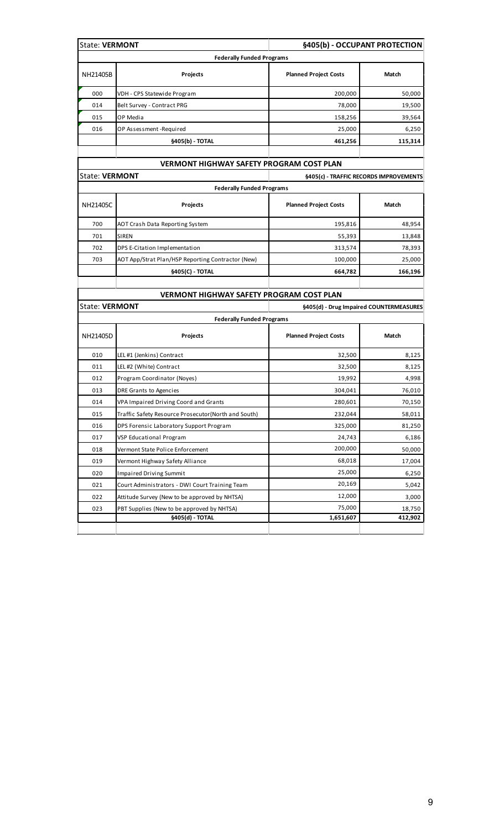| <b>State: VERMONT</b>                             |                                         | §405(b) - OCCUPANT PROTECTION                                                                                                                                                                                  |
|---------------------------------------------------|-----------------------------------------|----------------------------------------------------------------------------------------------------------------------------------------------------------------------------------------------------------------|
|                                                   |                                         |                                                                                                                                                                                                                |
| <b>Projects</b>                                   | <b>Planned Project Costs</b>            | Match                                                                                                                                                                                                          |
| VDH - CPS Statewide Program                       | 200,000                                 | 50,000                                                                                                                                                                                                         |
| Belt Survey - Contract PRG                        | 78,000                                  | 19,500                                                                                                                                                                                                         |
| OP Media                                          | 158,256                                 | 39,564                                                                                                                                                                                                         |
| OP Assessment-Required                            | 25,000                                  | 6,250                                                                                                                                                                                                          |
| §405(b) - TOTAL                                   | 461,256                                 | 115,314                                                                                                                                                                                                        |
|                                                   |                                         |                                                                                                                                                                                                                |
| <b>State: VERMONT</b>                             |                                         | §405(c) - TRAFFIC RECORDS IMPROVEMENTS                                                                                                                                                                         |
|                                                   |                                         |                                                                                                                                                                                                                |
| Projects                                          | <b>Planned Project Costs</b>            | Match                                                                                                                                                                                                          |
| AOT Crash Data Reporting System                   | 195,816                                 | 48,954                                                                                                                                                                                                         |
| <b>SIREN</b>                                      | 55,393                                  | 13,848                                                                                                                                                                                                         |
| DPS E-Citation Implementation                     | 313,574                                 | 78,393                                                                                                                                                                                                         |
| AOT App/Strat Plan/HSP Reporting Contractor (New) | 100,000                                 | 25,000                                                                                                                                                                                                         |
| §405(C) - TOTAL                                   | 664,782                                 | 166,196                                                                                                                                                                                                        |
|                                                   |                                         |                                                                                                                                                                                                                |
| <b>State: VERMONT</b>                             | §405(d) - Drug Impaired COUNTERMEASURES |                                                                                                                                                                                                                |
|                                                   |                                         |                                                                                                                                                                                                                |
|                                                   |                                         | <b>Federally Funded Programs</b><br><b>VERMONT HIGHWAY SAFETY PROGRAM COST PLAN</b><br><b>Federally Funded Programs</b><br><b>VERMONT HIGHWAY SAFETY PROGRAM COST PLAN</b><br><b>Federally Funded Programs</b> |

| NH21405D | Projects                                            | <b>Planned Project Costs</b> | Match   |
|----------|-----------------------------------------------------|------------------------------|---------|
| 010      | LEL #1 (Jenkins) Contract                           | 32,500                       | 8,125   |
| 011      | LEL #2 (White) Contract                             | 32,500                       | 8,125   |
| 012      | Program Coordinator (Noyes)                         | 19,992                       | 4,998   |
| 013      | DRE Grants to Agencies                              | 304,041                      | 76,010  |
| 014      | VPA Impaired Driving Coord and Grants               | 280,601                      | 70,150  |
| 015      | Traffic Safety Resource Prosecutor(North and South) | 232,044                      | 58,011  |
| 016      | DPS Forensic Laboratory Support Program             | 325,000                      | 81,250  |
| 017      | VSP Educational Program                             | 24,743                       | 6,186   |
| 018      | Vermont State Police Enforcement                    | 200,000                      | 50,000  |
| 019      | Vermont Highway Safety Alliance                     | 68,018                       | 17,004  |
| 020      | <b>Impaired Driving Summit</b>                      | 25,000                       | 6,250   |
| 021      | Court Administrators - DWI Court Training Team      | 20,169                       | 5,042   |
| 022      | Attitude Survey (New to be approved by NHTSA)       | 12,000                       | 3,000   |
| 023      | PBT Supplies (New to be approved by NHTSA)          | 75,000                       | 18,750  |
|          | §405(d) - TOTAL                                     | 1,651,607                    | 412,902 |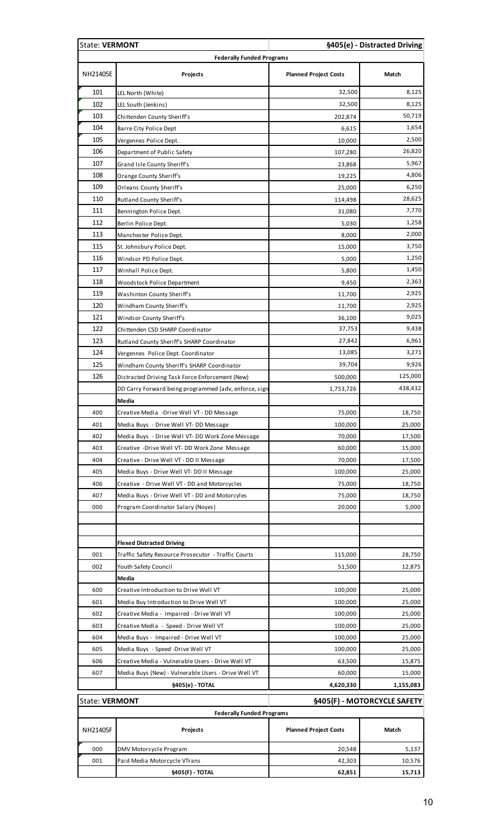| <b>State: VERMONT</b>            |                                                       |                              | §405(e) - Distracted Driving |  |
|----------------------------------|-------------------------------------------------------|------------------------------|------------------------------|--|
| <b>Federally Funded Programs</b> |                                                       |                              |                              |  |
| NH21405E                         | Projects                                              | <b>Planned Project Costs</b> | Match                        |  |
| 101                              | LEL North (White)                                     | 32,500                       | 8,125                        |  |
| 102                              | LEL South (Jenkins)                                   | 32,500                       | 8,125                        |  |
| 103                              | Chittenden County Sheriff's                           | 202,874                      | 50,719                       |  |
| 104                              | Barre City Police Dept                                | 6,615                        | 1,654                        |  |
| 105                              | Vergennes Police Dept.                                | 10,000                       | 2,500                        |  |
| 106                              | Department of Public Safety                           | 107,280                      | 26,820                       |  |
| 107                              | Grand Isle County Sheriff's                           | 23,868                       | 5,967                        |  |
| 108                              | Orange County Sheriff's                               | 19,225                       | 4,806                        |  |
| 109                              | Orleans County Sheriff's                              | 25,000                       | 6,250                        |  |
| 110                              | Rutland County Sheriff's                              | 114,498                      | 28,625                       |  |
| 111                              | Bennington Police Dept.                               | 31,080                       | 7,770                        |  |
| 112                              | Berlin Police Dept.                                   | 5,030                        | 1,258                        |  |
| 113                              | Manchester Police Dept.                               | 8,000                        | 2,000                        |  |
| 115                              | St. Johnsbury Police Dept.                            | 15,000                       | 3,750                        |  |
| 116                              | Windsor PD Police Dept.                               | 5,000                        | 1,250                        |  |
| 117                              | Winhall Police Dept.                                  | 5,800                        | 1,450                        |  |
| 118                              | Woodstock Police Department                           | 9,450                        | 2,363                        |  |
| 119                              | Washinton County Sheriff's                            | 11,700                       | 2,925                        |  |
| 120                              | Windham County Sheriff's                              | 11,700                       | 2,925                        |  |
| 121                              | Windsor County Sheriff's                              | 36,100                       | 9,025                        |  |
| 122                              | Chittenden CSD SHARP Coordinator                      | 37,753                       | 9,438                        |  |
| 123                              | Rutland County Sheriff's SHARP Coordinator            | 27,842                       | 6,961                        |  |
| 124                              | Vergennes Police Dept. Coordinator                    | 13,085                       | 3,271                        |  |
| 125                              | Windham County Sheriff's SHARP Coordinator            | 39,704                       | 9,926                        |  |
| 126                              | Distracted Driving Task Force Enforcement (New)       | 500,000                      | 125,000                      |  |
|                                  | DD Carry Forward being programmed (adv, enforce, sign | 1,753,726                    | 438,432                      |  |
|                                  | Media                                                 |                              |                              |  |
| 400                              | Creative Media -Drive Well VT - DD Message            | 75,000                       | 18,750                       |  |
| 401                              | Media Buys - Drive Well VT-DD Message                 | 100,000                      | 25,000                       |  |
| 402                              | Media Buys - Drive Well VT- DD Work Zone Message      | 70,000                       | 17,500                       |  |
| 403                              | Creative -Drive Well VT- DD Work Zone Message         | 60,000                       | 15,000                       |  |
| 404                              | Creative - Drive Well VT - DD II Message              | 70,000                       | 17,500                       |  |
| 405                              | Media Buys - Drive Well VT-DD II Message              | 100,000                      | 25,000                       |  |
| 406                              | Creative - Drive Well VT - DD and Motorcycles         | 75,000                       | 18,750                       |  |
| 407                              | Media Buys - Drive Well VT - DD and Motorcyles        | 75,000                       | 18,750                       |  |
| 000                              | Program Coordinator Salary (Noyes)                    | 20,000                       | 5,000                        |  |
|                                  |                                                       |                              |                              |  |
|                                  | <b>Flexed Distracted Driving</b>                      |                              |                              |  |
| 001                              | Traffic Safety Resource Prosecutor - Traffic Courts   | 115,000                      | 28,750                       |  |
| 002                              | Youth Safety Council                                  | 51,500                       | 12,875                       |  |
|                                  | Media                                                 |                              |                              |  |
| 600                              | Creative Introduction to Drive Well VT                | 100,000                      | 25,000                       |  |
| 601                              | Media Buy Introduction to Drive Well VT               | 100,000                      | 25,000                       |  |
| 602                              | Creative Media - Impaired - Drive Well VT             | 100,000                      | 25,000                       |  |
| 603                              | Creative Media - Speed - Drive Well VT                | 100,000                      | 25,000                       |  |
| 604                              | Media Buys - Impaired - Drive Well VT                 | 100,000                      | 25,000                       |  |
| 605                              | Media Buys - Speed - Drive Well VT                    | 100,000                      | 25,000                       |  |
| 606                              | Creative Media - Vulnerable Users - Drive Well VT     | 63,500                       | 15,875                       |  |
| 607                              | Media Buys (New) - Vulnerable Users - Drive Well VT   | 60,000                       | 15,000                       |  |
|                                  | §405(e) - TOTAL                                       | 4,620,330                    | 1,155,083                    |  |
|                                  | <b>State: VERMONT</b><br>§405(F) - MOTORCYCLE SAFETY  |                              |                              |  |
| NH21405F                         | <b>Federally Funded Programs</b><br>Projects          | <b>Planned Project Costs</b> | Match                        |  |
|                                  |                                                       |                              |                              |  |
| 000                              | DMV Motorcycle Program                                | 20,548                       | 5,137                        |  |
| 001                              | Paid Media Motorcycle VTrans                          | 42,303                       | 10,576                       |  |
|                                  | §405(F) - TOTAL                                       | 62,851                       | 15,713                       |  |